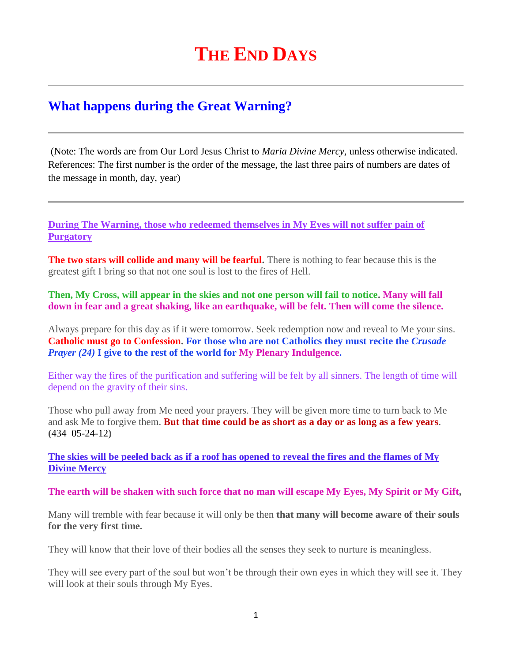# **THE END DAYS**

# **What happens during the Great Warning?**

(Note: The words are from Our Lord Jesus Christ to *Maria Divine Mercy*, unless otherwise indicated. References: The first number is the order of the message, the last three pairs of numbers are dates of the message in month, day, year)

**[During The Warning, those who redeemed themselves in My Eyes will not suffer pain of](http://www.thewarningsecondcoming.com/during-the-warning-all-those-who-have-redeemed-themselves-in-my-eyes-will-not-suffer-the-pain-of-purgatory/)  [Purgatory](http://www.thewarningsecondcoming.com/during-the-warning-all-those-who-have-redeemed-themselves-in-my-eyes-will-not-suffer-the-pain-of-purgatory/)**

**The two stars will collide and many will be fearful.** There is nothing to fear because this is the greatest gift I bring so that not one soul is lost to the fires of Hell.

**Then, My Cross, will appear in the skies and not one person will fail to notice. Many will fall down in fear and a great shaking, like an earthquake, will be felt. Then will come the silence.**

Always prepare for this day as if it were tomorrow. Seek redemption now and reveal to Me your sins. **Catholic must go to Confession. For those who are not Catholics they must recite the** *Crusade Prayer (24)* **I give to the rest of the world for My Plenary Indulgence.**

Either way the fires of the purification and suffering will be felt by all sinners. The length of time will depend on the gravity of their sins.

Those who pull away from Me need your prayers. They will be given more time to turn back to Me and ask Me to forgive them. **But that time could be as short as a day or as long as a few years**. **(**434 05-24-12**)**

**The skies will be peeled back as if a roof has opened to reveal the fires and the flames of My Divine Mercy**

**The earth will be shaken with such force that no man will escape My Eyes, My Spirit or My Gift,**

Many will tremble with fear because it will only be then **that many will become aware of their souls for the very first time.**

They will know that their love of their bodies all the senses they seek to nurture is meaningless.

They will see every part of the soul but won't be through their own eyes in which they will see it. They will look at their souls through My Eyes.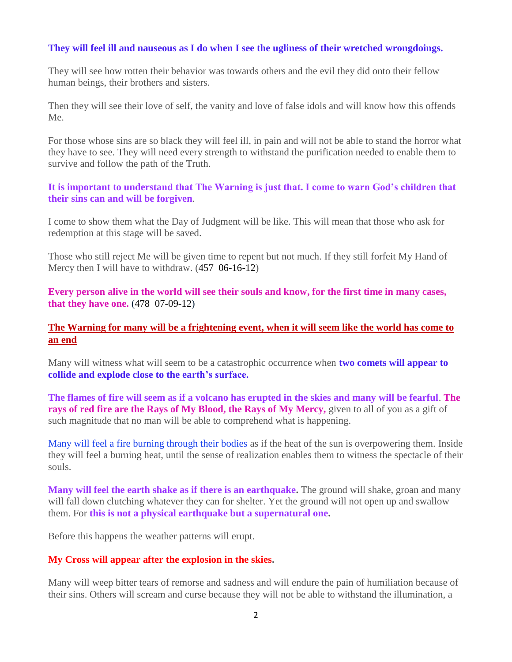# **They will feel ill and nauseous as I do when I see the ugliness of their wretched wrongdoings.**

They will see how rotten their behavior was towards others and the evil they did onto their fellow human beings, their brothers and sisters.

Then they will see their love of self, the vanity and love of false idols and will know how this offends Me.

For those whose sins are so black they will feel ill, in pain and will not be able to stand the horror what they have to see. They will need every strength to withstand the purification needed to enable them to survive and follow the path of the Truth.

#### **It is important to understand that The Warning is just that. I come to warn God's children that their sins can and will be forgiven**.

I come to show them what the Day of Judgment will be like. This will mean that those who ask for redemption at this stage will be saved.

Those who still reject Me will be given time to repent but not much. If they still forfeit My Hand of Mercy then I will have to withdraw.  $(457 \t 06-16-12)$ 

**[Every person alive in the world will see their souls and know, for the first time in many cases,](http://www.thewarningsecondcoming.com/every-person-alive-in-the-world-will-see-their-souls-and-know-for-the-first-time-in-many-cases-that-they-have-one/)  [that they have one.](http://www.thewarningsecondcoming.com/every-person-alive-in-the-world-will-see-their-souls-and-know-for-the-first-time-in-many-cases-that-they-have-one/)** (478 07-09-12)

# **[The Warning for many will be a frightening event, when it will seem like the world has come to](http://www.thewarningsecondcoming.com/the-warning-for-many-will-be-a-frightening-event-when-it-will-seem-like-the-world-has-come-to-an-end/)  [an end](http://www.thewarningsecondcoming.com/the-warning-for-many-will-be-a-frightening-event-when-it-will-seem-like-the-world-has-come-to-an-end/)**

Many will witness what will seem to be a catastrophic occurrence when **two comets will appear to collide and explode close to the earth's surface.**

**The flames of fire will seem as if a volcano has erupted in the skies and many will be fearful**. **The rays of red fire are the Rays of My Blood, the Rays of My Mercy,** given to all of you as a gift of such magnitude that no man will be able to comprehend what is happening.

Many will feel a fire burning through their bodies as if the heat of the sun is overpowering them. Inside they will feel a burning heat, until the sense of realization enables them to witness the spectacle of their souls.

**Many will feel the earth shake as if there is an earthquake.** The ground will shake, groan and many will fall down clutching whatever they can for shelter. Yet the ground will not open up and swallow them. For **this is not a physical earthquake but a supernatural one.**

Before this happens the weather patterns will erupt.

#### **My Cross will appear after the explosion in the skies.**

Many will weep bitter tears of remorse and sadness and will endure the pain of humiliation because of their sins. Others will scream and curse because they will not be able to withstand the illumination, a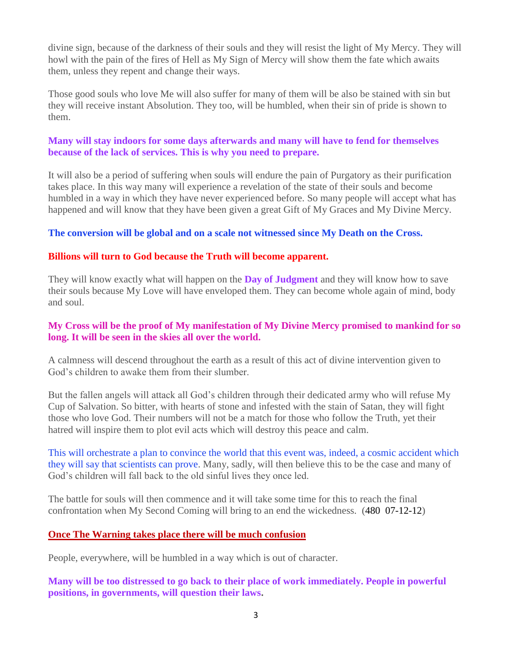divine sign, because of the darkness of their souls and they will resist the light of My Mercy. They will howl with the pain of the fires of Hell as My Sign of Mercy will show them the fate which awaits them, unless they repent and change their ways.

Those good souls who love Me will also suffer for many of them will be also be stained with sin but they will receive instant Absolution. They too, will be humbled, when their sin of pride is shown to them.

# **Many will stay indoors for some days afterwards and many will have to fend for themselves because of the lack of services. This is why you need to prepare.**

It will also be a period of suffering when souls will endure the pain of Purgatory as their purification takes place. In this way many will experience a revelation of the state of their souls and become humbled in a way in which they have never experienced before. So many people will accept what has happened and will know that they have been given a great Gift of My Graces and My Divine Mercy.

# **The conversion will be global and on a scale not witnessed since My Death on the Cross.**

# **Billions will turn to God because the Truth will become apparent.**

They will know exactly what will happen on the **Day of Judgment** and they will know how to save their souls because My Love will have enveloped them. They can become whole again of mind, body and soul.

#### **My Cross will be the proof of My manifestation of My Divine Mercy promised to mankind for so long. It will be seen in the skies all over the world.**

A calmness will descend throughout the earth as a result of this act of divine intervention given to God's children to awake them from their slumber.

But the fallen angels will attack all God's children through their dedicated army who will refuse My Cup of Salvation. So bitter, with hearts of stone and infested with the stain of Satan, they will fight those who love God. Their numbers will not be a match for those who follow the Truth, yet their hatred will inspire them to plot evil acts which will destroy this peace and calm.

This will orchestrate a plan to convince the world that this event was, indeed, a cosmic accident which they will say that scientists can prove. Many, sadly, will then believe this to be the case and many of God's children will fall back to the old sinful lives they once led.

The battle for souls will then commence and it will take some time for this to reach the final confrontation when My Second Coming will bring to an end the wickedness. (480 07-12-12)

#### **[Once The Warning takes place there will be much confusion](http://www.thewarningsecondcoming.com/once-the-warning-takes-place-there-will-be-much-confusion/)**

People, everywhere, will be humbled in a way which is out of character.

**Many will be too distressed to go back to their place of work immediately. People in powerful positions, in governments, will question their laws.**